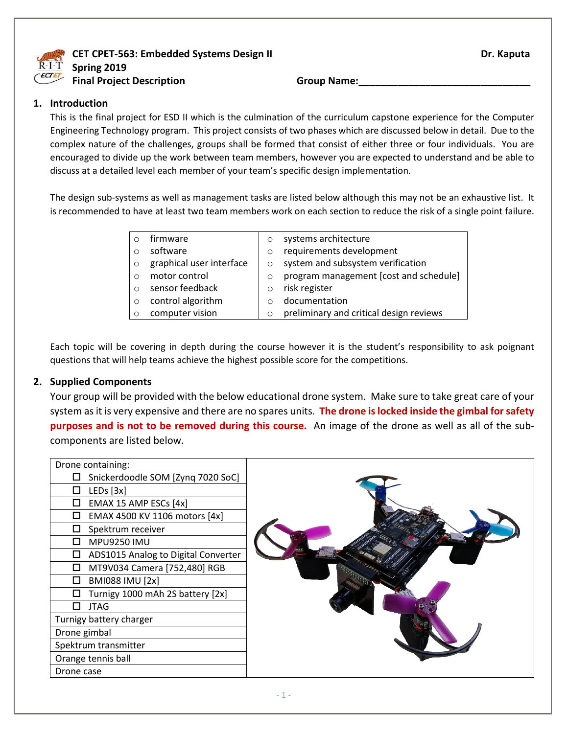

**CET CPET-563: Embedded Systems Design II Dr. Kaputa** Dr. Kaputa **Spring 2019 Final Project Description Group Name:** 

#### **1. Introduction**

This is the final project for ESD II which is the culmination of the curriculum capstone experience for the Computer Engineering Technology program. This project consists of two phases which are discussed below in detail. Due to the complex nature of the challenges, groups shall be formed that consist of either three or four individuals. You are encouraged to divide up the work between team members, however you are expected to understand and be able to discuss at a detailed level each member of your team's specific design implementation.

The design sub-systems as well as management tasks are listed below although this may not be an exhaustive list. It is recommended to have at least two team members work on each section to reduce the risk of a single point failure.

|         | firmware                 | $\circ$ | systems architecture                    |
|---------|--------------------------|---------|-----------------------------------------|
|         | software                 | $\circ$ | requirements development                |
| $\circ$ | graphical user interface | $\circ$ | system and subsystem verification       |
|         | motor control            | $\circ$ | program management [cost and schedule]  |
|         | sensor feedback          | $\circ$ | risk register                           |
| $\circ$ | control algorithm        | $\circ$ | documentation                           |
|         | computer vision          | $\circ$ | preliminary and critical design reviews |

Each topic will be covering in depth during the course however it is the student's responsibility to ask poignant questions that will help teams achieve the highest possible score for the competitions.

#### **2. Supplied Components**

Your group will be provided with the below educational drone system. Make sure to take great care of your system as it is very expensive and there are no spares units. **The drone is locked inside the gimbal for safety purposes and is not to be removed during this course.** An image of the drone as well as all of the subcomponents are listed below.

| Drone containing:                        |  |
|------------------------------------------|--|
| Snickerdoodle SOM [Zynq 7020 SoC]        |  |
| LEDs [3x]<br>H                           |  |
| EMAX 15 AMP ESCs [4x]<br>П               |  |
| EMAX 4500 KV 1106 motors [4x]<br>H       |  |
| Spektrum receiver<br>П                   |  |
| <b>MPU9250 IMU</b><br>Ш                  |  |
| ADS1015 Analog to Digital Converter<br>□ |  |
| MT9V034 Camera [752,480] RGB<br>П        |  |
| <b>BMI088 IMU [2x]</b>                   |  |
| Turnigy 1000 mAh 2S battery [2x]         |  |
| <b>JTAG</b><br>ΙI                        |  |
| Turnigy battery charger                  |  |
| Drone gimbal                             |  |
| Spektrum transmitter                     |  |
| Orange tennis ball                       |  |
| Drone case                               |  |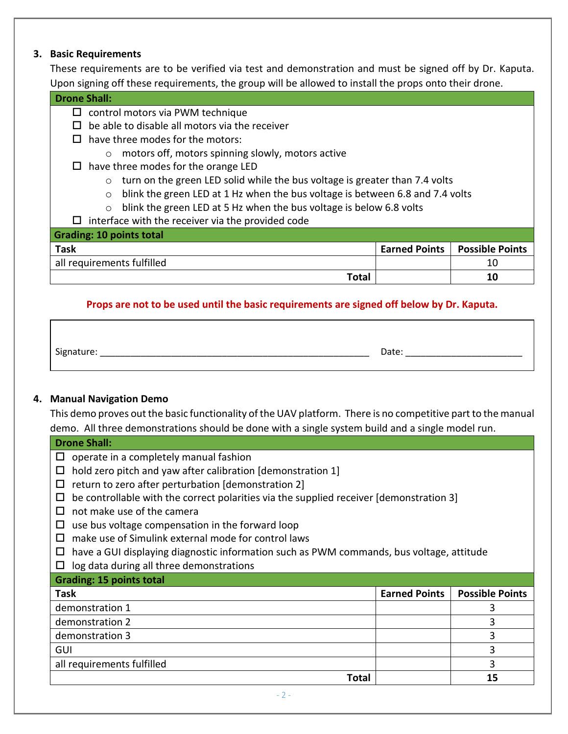#### **3. Basic Requirements**

These requirements are to be verified via test and demonstration and must be signed off by Dr. Kaputa. Upon signing off these requirements, the group will be allowed to install the props onto their drone.

#### **Drone Shall:**

- $\square$  control motors via PWM technique
- $\square$  be able to disable all motors via the receiver
- $\Box$  have three modes for the motors:
	- o motors off, motors spinning slowly, motors active
- $\Box$  have three modes for the orange LED
	- $\circ$  turn on the green LED solid while the bus voltage is greater than 7.4 volts
	- $\circ$  blink the green LED at 1 Hz when the bus voltage is between 6.8 and 7.4 volts
	- o blink the green LED at 5 Hz when the bus voltage is below 6.8 volts
- $\Box$  interface with the receiver via the provided code

| Grading: 10 points total   |                                 |
|----------------------------|---------------------------------|
| <b>Task</b>                | Earned Points   Possible Points |
| all requirements fulfilled |                                 |
| Total                      | 10                              |

#### **Props are not to be used until the basic requirements are signed off below by Dr. Kaputa.**

Signature: \_\_\_\_\_\_\_\_\_\_\_\_\_\_\_\_\_\_\_\_\_\_\_\_\_\_\_\_\_\_\_\_\_\_\_\_\_\_\_\_\_\_\_\_\_\_\_\_\_\_\_\_\_ Date: \_\_\_\_\_\_\_\_\_\_\_\_\_\_\_\_\_\_\_\_\_\_\_

## **4. Manual Navigation Demo**

This demo proves out the basic functionality of the UAV platform. There is no competitive part to the manual demo. All three demonstrations should be done with a single system build and a single model run.

## **Drone Shall:**  $\Box$  operate in a completely manual fashion

- $\Box$  hold zero pitch and yaw after calibration [demonstration 1]
- $\Box$  return to zero after perturbation [demonstration 2]
- $\Box$  be controllable with the correct polarities via the supplied receiver [demonstration 3]
- $\Box$  not make use of the camera
- $\Box$  use bus voltage compensation in the forward loop
- $\square$  make use of Simulink external mode for control laws
- $\Box$  have a GUI displaying diagnostic information such as PWM commands, bus voltage, attitude
- $\Box$  log data during all three demonstrations

## **Grading: 15 points total Task Earned Points Possible Points** demonstration 1 3 demonstration 2 3 demonstration 3 3 GUI 3 all requirements fulfilled 3 **Total 15**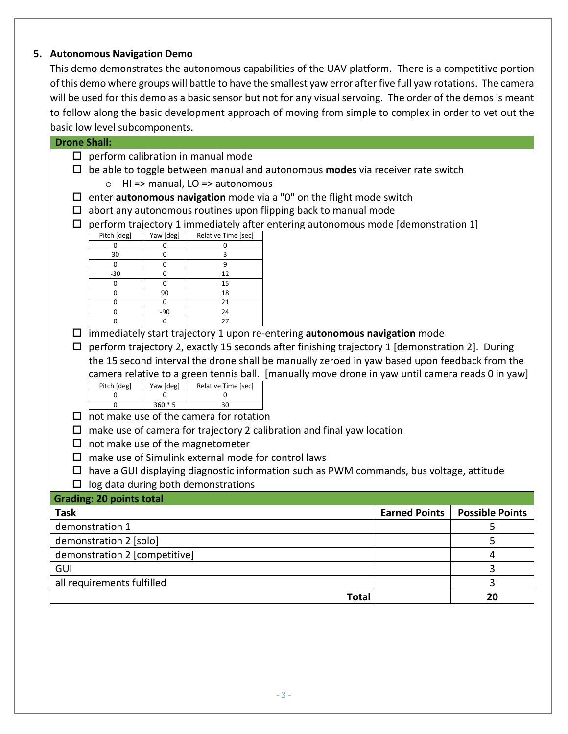## **5. Autonomous Navigation Demo**

This demo demonstrates the autonomous capabilities of the UAV platform. There is a competitive portion of this demo where groups will battle to have the smallest yaw error after five full yaw rotations. The camera will be used for this demo as a basic sensor but not for any visual servoing. The order of the demos is meant to follow along the basic development approach of moving from simple to complex in order to vet out the basic low level subcomponents.

| <b>Drone Shall:</b>                             |                                                                                                  |                                                                                              |                                                     |                                                                                          |                      |                        |
|-------------------------------------------------|--------------------------------------------------------------------------------------------------|----------------------------------------------------------------------------------------------|-----------------------------------------------------|------------------------------------------------------------------------------------------|----------------------|------------------------|
| $\Box$                                          | perform calibration in manual mode                                                               |                                                                                              |                                                     |                                                                                          |                      |                        |
|                                                 |                                                                                                  | $\Box$ be able to toggle between manual and autonomous <b>modes</b> via receiver rate switch |                                                     |                                                                                          |                      |                        |
|                                                 |                                                                                                  |                                                                                              | $\circ$ HI => manual, LO => autonomous              |                                                                                          |                      |                        |
| ப                                               |                                                                                                  |                                                                                              |                                                     | enter autonomous navigation mode via a "0" on the flight mode switch                     |                      |                        |
| ⊔                                               |                                                                                                  |                                                                                              |                                                     | abort any autonomous routines upon flipping back to manual mode                          |                      |                        |
| $\Box$                                          |                                                                                                  |                                                                                              |                                                     | perform trajectory 1 immediately after entering autonomous mode [demonstration 1]        |                      |                        |
|                                                 | Pitch [deg]                                                                                      | Yaw [deg]                                                                                    | Relative Time [sec]                                 |                                                                                          |                      |                        |
|                                                 | $\mathbf 0$                                                                                      | $\Omega$                                                                                     | $\Omega$                                            |                                                                                          |                      |                        |
|                                                 | 30<br>$\mathbf 0$                                                                                | 0<br>$\mathbf 0$                                                                             | 3<br>9                                              |                                                                                          |                      |                        |
|                                                 | $-30$                                                                                            | 0                                                                                            | 12                                                  |                                                                                          |                      |                        |
|                                                 | $\mathbf 0$                                                                                      | 0                                                                                            | 15                                                  |                                                                                          |                      |                        |
|                                                 | $\mathbf 0$                                                                                      | 90                                                                                           | 18                                                  |                                                                                          |                      |                        |
|                                                 | 0                                                                                                | 0                                                                                            | 21                                                  |                                                                                          |                      |                        |
|                                                 | $\mathbf 0$                                                                                      | $-90$                                                                                        | 24                                                  |                                                                                          |                      |                        |
|                                                 | $\mathbf 0$                                                                                      | $\mathbf 0$                                                                                  | 27                                                  |                                                                                          |                      |                        |
|                                                 |                                                                                                  |                                                                                              |                                                     | $\square$ immediately start trajectory 1 upon re-entering autonomous navigation mode     |                      |                        |
| $\Box$                                          | perform trajectory 2, exactly 15 seconds after finishing trajectory 1 [demonstration 2]. During  |                                                                                              |                                                     |                                                                                          |                      |                        |
|                                                 | the 15 second interval the drone shall be manually zeroed in yaw based upon feedback from the    |                                                                                              |                                                     |                                                                                          |                      |                        |
|                                                 | camera relative to a green tennis ball. [manually move drone in yaw until camera reads 0 in yaw] |                                                                                              |                                                     |                                                                                          |                      |                        |
|                                                 | Pitch [deg]<br>Yaw [deg]<br>Relative Time [sec]                                                  |                                                                                              |                                                     |                                                                                          |                      |                        |
|                                                 | $\Omega$                                                                                         | $\Omega$                                                                                     | $\Omega$                                            |                                                                                          |                      |                        |
|                                                 | $\Omega$                                                                                         | $360 * 5$                                                                                    | 30                                                  |                                                                                          |                      |                        |
|                                                 | $\square$ not make use of the camera for rotation                                                |                                                                                              |                                                     |                                                                                          |                      |                        |
| $\Box$                                          | make use of camera for trajectory 2 calibration and final yaw location                           |                                                                                              |                                                     |                                                                                          |                      |                        |
|                                                 |                                                                                                  |                                                                                              | $\Box$ not make use of the magnetometer             |                                                                                          |                      |                        |
| $\Box$                                          |                                                                                                  |                                                                                              | make use of Simulink external mode for control laws |                                                                                          |                      |                        |
|                                                 |                                                                                                  |                                                                                              |                                                     | have a GUI displaying diagnostic information such as PWM commands, bus voltage, attitude |                      |                        |
|                                                 | log data during both demonstrations<br>$\Box$                                                    |                                                                                              |                                                     |                                                                                          |                      |                        |
| <b>Grading: 20 points total</b>                 |                                                                                                  |                                                                                              |                                                     |                                                                                          |                      |                        |
| <b>Task</b>                                     |                                                                                                  |                                                                                              |                                                     |                                                                                          | <b>Earned Points</b> | <b>Possible Points</b> |
|                                                 | demonstration 1                                                                                  |                                                                                              |                                                     |                                                                                          |                      | 5                      |
|                                                 | demonstration 2 [solo]                                                                           |                                                                                              |                                                     |                                                                                          |                      | 5                      |
| demonstration 2 [competitive]<br>$\overline{4}$ |                                                                                                  |                                                                                              |                                                     |                                                                                          |                      |                        |
| GUI                                             |                                                                                                  |                                                                                              |                                                     |                                                                                          |                      |                        |

all requirements fulfilled 3

**Total 20**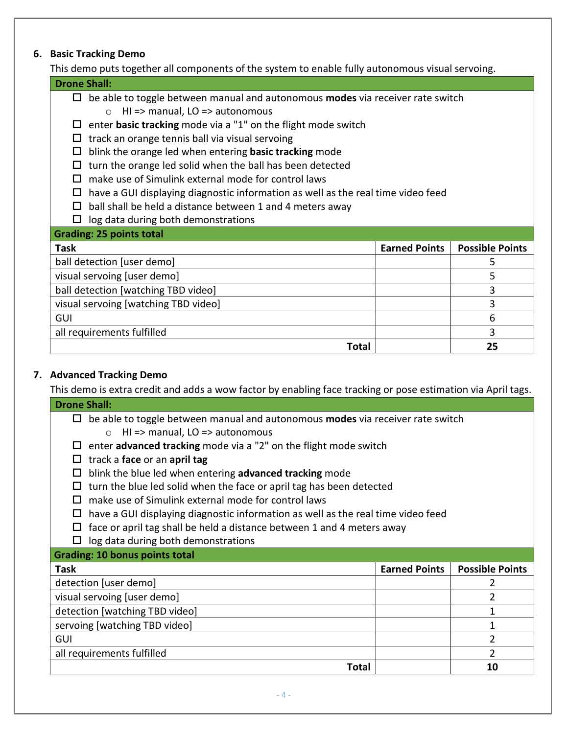## **6. Basic Tracking Demo**

This demo puts together all components of the system to enable fully autonomous visual servoing.

| This active pats together an components or the system to chable rany autonomous visual servoing. |                      |                        |  |  |
|--------------------------------------------------------------------------------------------------|----------------------|------------------------|--|--|
| <b>Drone Shall:</b>                                                                              |                      |                        |  |  |
| be able to toggle between manual and autonomous modes via receiver rate switch<br>Ц              |                      |                        |  |  |
| $Hl$ => manual, LO => autonomous<br>$\Omega$                                                     |                      |                        |  |  |
| enter basic tracking mode via a "1" on the flight mode switch                                    |                      |                        |  |  |
| track an orange tennis ball via visual servoing<br>$\sqcup$                                      |                      |                        |  |  |
| blink the orange led when entering <b>basic tracking</b> mode<br>⊔                               |                      |                        |  |  |
| turn the orange led solid when the ball has been detected<br>ப                                   |                      |                        |  |  |
| make use of Simulink external mode for control laws                                              |                      |                        |  |  |
| have a GUI displaying diagnostic information as well as the real time video feed<br>ப            |                      |                        |  |  |
| ball shall be held a distance between 1 and 4 meters away<br>$\mathsf{L}$                        |                      |                        |  |  |
| log data during both demonstrations<br>ப                                                         |                      |                        |  |  |
| <b>Grading: 25 points total</b>                                                                  |                      |                        |  |  |
| <b>Task</b>                                                                                      | <b>Earned Points</b> | <b>Possible Points</b> |  |  |
| ball detection [user demo]<br>5                                                                  |                      |                        |  |  |
| visual servoing [user demo]<br>5                                                                 |                      |                        |  |  |
| 3<br>ball detection [watching TBD video]                                                         |                      |                        |  |  |
| 3<br>visual servoing [watching TBD video]                                                        |                      |                        |  |  |
| 6<br>GUI                                                                                         |                      |                        |  |  |
| 3<br>all requirements fulfilled                                                                  |                      |                        |  |  |

## **7. Advanced Tracking Demo**

This demo is extra credit and adds a wow factor by enabling face tracking or pose estimation via April tags.

**Total 25**

| <b>Drone Shall:</b>                                                                   |                      |                        |  |  |  |
|---------------------------------------------------------------------------------------|----------------------|------------------------|--|--|--|
| be able to toggle between manual and autonomous modes via receiver rate switch<br>⊔   |                      |                        |  |  |  |
| HI => manual, LO => autonomous<br>$\circ$                                             |                      |                        |  |  |  |
| enter advanced tracking mode via a "2" on the flight mode switch                      |                      |                        |  |  |  |
| track a face or an april tag<br>□                                                     |                      |                        |  |  |  |
| blink the blue led when entering advanced tracking mode<br>□                          |                      |                        |  |  |  |
| turn the blue led solid when the face or april tag has been detected                  |                      |                        |  |  |  |
| make use of Simulink external mode for control laws                                   |                      |                        |  |  |  |
| have a GUI displaying diagnostic information as well as the real time video feed<br>ப |                      |                        |  |  |  |
| face or april tag shall be held a distance between 1 and 4 meters away<br>⊔           |                      |                        |  |  |  |
| log data during both demonstrations                                                   |                      |                        |  |  |  |
| <b>Grading: 10 bonus points total</b>                                                 |                      |                        |  |  |  |
| Task                                                                                  | <b>Earned Points</b> | <b>Possible Points</b> |  |  |  |
| detection [user demo]                                                                 |                      |                        |  |  |  |
| visual servoing [user demo]                                                           | 2                    |                        |  |  |  |
| detection [watching TBD video]<br>1                                                   |                      |                        |  |  |  |
| servoing [watching TBD video]<br>1                                                    |                      |                        |  |  |  |
| 2<br><b>GUI</b>                                                                       |                      |                        |  |  |  |
| $\mathfrak z$<br>all requirements fulfilled                                           |                      |                        |  |  |  |
| <b>Total</b>                                                                          |                      | 10                     |  |  |  |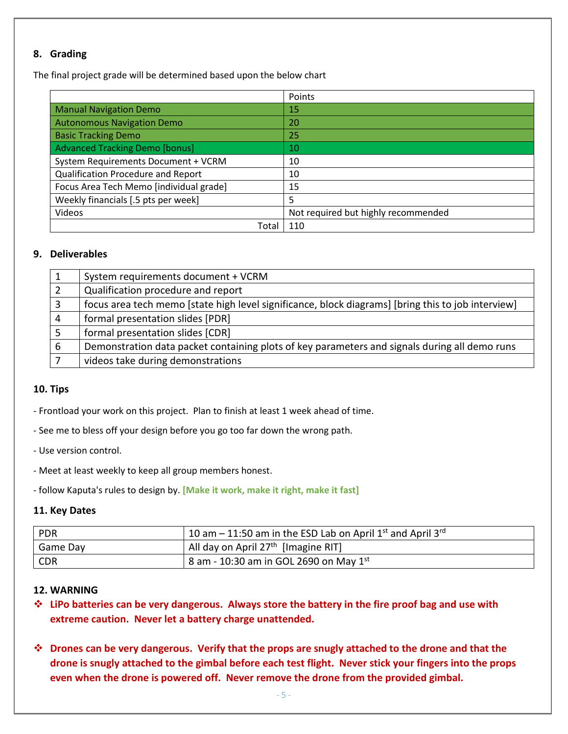#### **8. Grading**

The final project grade will be determined based upon the below chart

|                                         | Points                              |
|-----------------------------------------|-------------------------------------|
| <b>Manual Navigation Demo</b>           | 15                                  |
| <b>Autonomous Navigation Demo</b>       | 20                                  |
| <b>Basic Tracking Demo</b>              | 25                                  |
| <b>Advanced Tracking Demo [bonus]</b>   | 10                                  |
| System Requirements Document + VCRM     | 10                                  |
| Qualification Procedure and Report      | 10                                  |
| Focus Area Tech Memo [individual grade] | 15                                  |
| Weekly financials [.5 pts per week]     | 5                                   |
| Videos                                  | Not required but highly recommended |
| Total                                   | 110                                 |

#### **9. Deliverables**

|   | System requirements document + VCRM                                                                |
|---|----------------------------------------------------------------------------------------------------|
|   | Qualification procedure and report                                                                 |
|   | focus area tech memo [state high level significance, block diagrams] [bring this to job interview] |
|   | formal presentation slides [PDR]                                                                   |
|   | formal presentation slides [CDR]                                                                   |
| 6 | Demonstration data packet containing plots of key parameters and signals during all demo runs      |
|   | videos take during demonstrations                                                                  |

#### **10. Tips**

- Frontload your work on this project. Plan to finish at least 1 week ahead of time.
- See me to bless off your design before you go too far down the wrong path.
- Use version control.
- Meet at least weekly to keep all group members honest.
- follow Kaputa's rules to design by. **[Make it work, make it right, make it fast]**

#### **11. Key Dates**

| PDR        | 10 am – 11:50 am in the ESD Lab on April $1^{st}$ and April $3^{rd}$ |
|------------|----------------------------------------------------------------------|
| Game Day   | All day on April 27 <sup>th</sup> [Imagine RIT]                      |
| <b>CDR</b> | $18$ am - 10:30 am in GOL 2690 on May $1st$                          |

#### **12. WARNING**

- **LiPo batteries can be very dangerous. Always store the battery in the fire proof bag and use with extreme caution. Never let a battery charge unattended.**
- **Drones can be very dangerous. Verify that the props are snugly attached to the drone and that the drone is snugly attached to the gimbal before each test flight. Never stick your fingers into the props even when the drone is powered off. Never remove the drone from the provided gimbal.**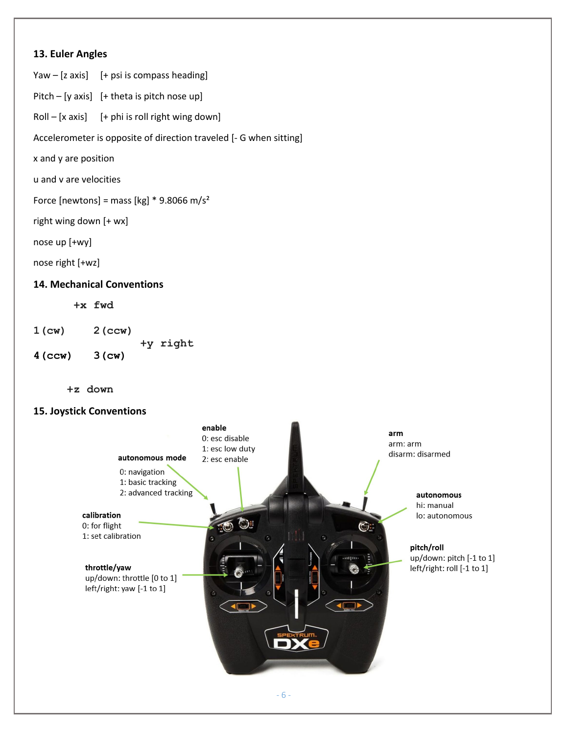#### **13. Euler Angles**

Yaw  $-$  [z axis] [+ psi is compass heading]

Pitch – [y axis]  $[+$  theta is pitch nose up]

 $Roll - [x axis]$  [+ phi is roll right wing down]

Accelerometer is opposite of direction traveled [- G when sitting]

x and y are position

u and v are velocities

Force [newtons] = mass [kg]  $*$  9.8066 m/s<sup>2</sup>

right wing down [+ wx]

nose up [+wy]

nose right [+wz]

#### **14. Mechanical Conventions**

 **+x fwd**

**1(cw) 2(ccw)**

 **+y right**

**4(ccw) 3(cw)** 

 **+z down**

#### **15. Joystick Conventions**

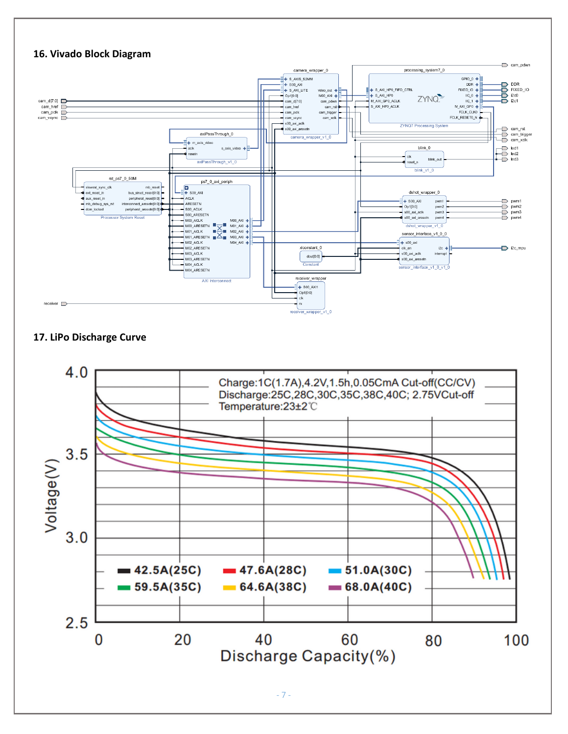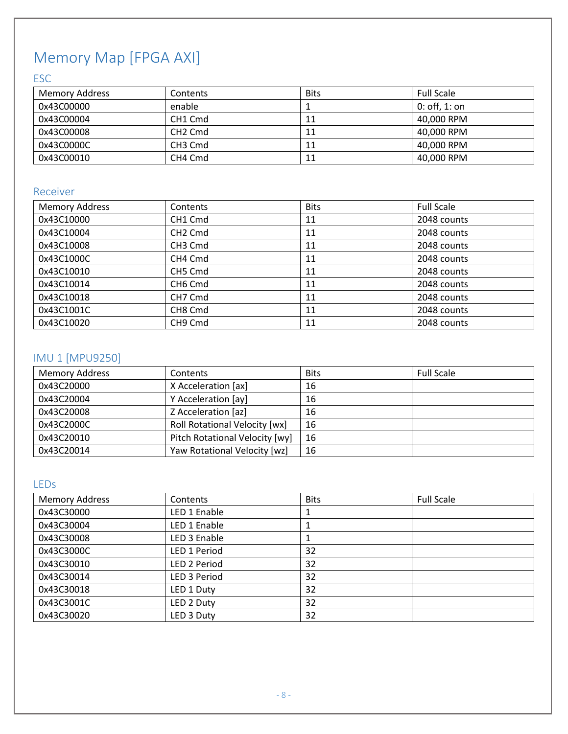# Memory Map [FPGA AXI]

## ESC

| <b>Memory Address</b> | Contents                        | <b>Bits</b> | <b>Full Scale</b> |
|-----------------------|---------------------------------|-------------|-------------------|
| 0x43C00000            | enable                          |             | $0:$ off, 1: on   |
| 0x43C00004            | CH <sub>1</sub> C <sub>md</sub> | 11          | 40,000 RPM        |
| 0x43C00008            | CH <sub>2</sub> Cmd             | 11          | 40,000 RPM        |
| 0x43C0000C            | CH <sub>3</sub> Cmd             | 11          | 40,000 RPM        |
| 0x43C00010            | CH4 Cmd                         | 11          | 40,000 RPM        |

## Receiver

| <b>Memory Address</b> | Contents            | <b>Bits</b> | <b>Full Scale</b> |
|-----------------------|---------------------|-------------|-------------------|
| 0x43C10000            | CH <sub>1</sub> Cmd | 11          | 2048 counts       |
| 0x43C10004            | CH <sub>2</sub> Cmd | 11          | 2048 counts       |
| 0x43C10008            | CH <sub>3</sub> Cmd | 11          | 2048 counts       |
| 0x43C1000C            | CH4 Cmd             | 11          | 2048 counts       |
| 0x43C10010            | CH5 Cmd             | 11          | 2048 counts       |
| 0x43C10014            | CH <sub>6</sub> Cmd | 11          | 2048 counts       |
| 0x43C10018            | CH7 Cmd             | 11          | 2048 counts       |
| 0x43C1001C            | CH <sub>8</sub> Cmd | 11          | 2048 counts       |
| 0x43C10020            | CH <sub>9</sub> Cmd | 11          | 2048 counts       |

## IMU 1 [MPU9250]

| <b>Memory Address</b> | Contents                             | <b>Bits</b> | <b>Full Scale</b> |
|-----------------------|--------------------------------------|-------------|-------------------|
| 0x43C20000            | X Acceleration [ax]                  | 16          |                   |
| 0x43C20004            | Y Acceleration [ay]                  | 16          |                   |
| 0x43C20008            | Z Acceleration [az]                  | 16          |                   |
| 0x43C2000C            | <b>Roll Rotational Velocity [wx]</b> | 16          |                   |
| 0x43C20010            | Pitch Rotational Velocity [wy]       | 16          |                   |
| 0x43C20014            | Yaw Rotational Velocity [wz]         | 16          |                   |

## LEDs

| <b>Memory Address</b> | Contents     | <b>Bits</b> | <b>Full Scale</b> |
|-----------------------|--------------|-------------|-------------------|
| 0x43C30000            | LED 1 Enable |             |                   |
| 0x43C30004            | LED 1 Enable |             |                   |
| 0x43C30008            | LED 3 Enable |             |                   |
| 0x43C3000C            | LED 1 Period | 32          |                   |
| 0x43C30010            | LED 2 Period | 32          |                   |
| 0x43C30014            | LED 3 Period | 32          |                   |
| 0x43C30018            | LED 1 Duty   | 32          |                   |
| 0x43C3001C            | LED 2 Duty   | 32          |                   |
| 0x43C30020            | LED 3 Duty   | 32          |                   |